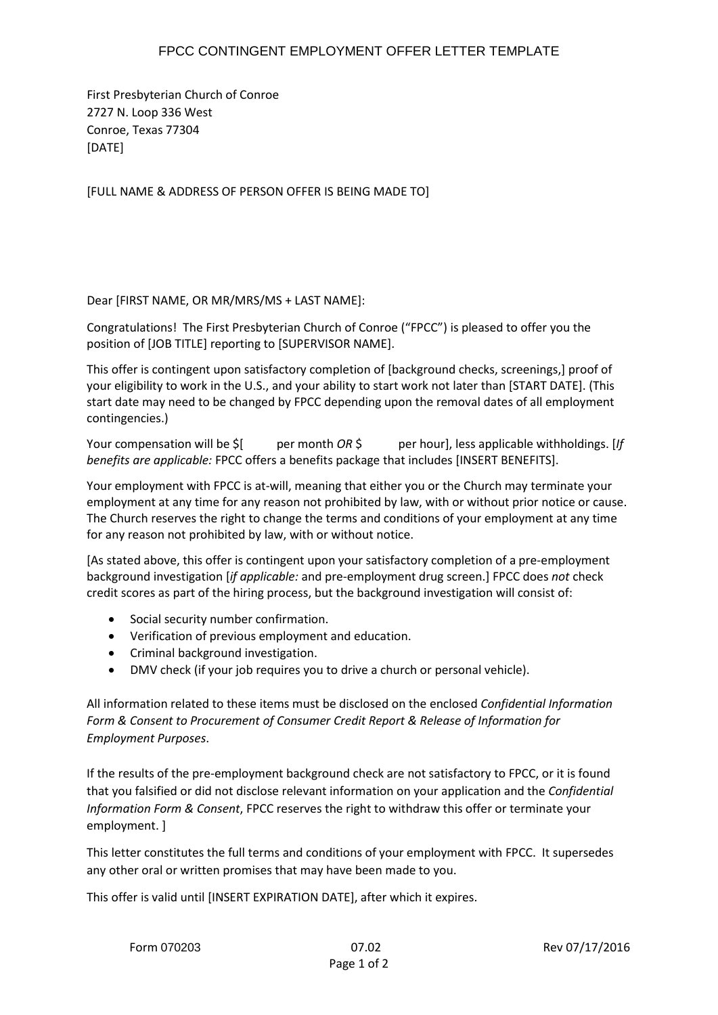## FPCC CONTINGENT EMPLOYMENT OFFER LETTER TEMPLATE

First Presbyterian Church of Conroe 2727 N. Loop 336 West Conroe, Texas 77304 [DATE]

[FULL NAME & ADDRESS OF PERSON OFFER IS BEING MADE TO]

## Dear [FIRST NAME, OR MR/MRS/MS + LAST NAME]:

Congratulations! The First Presbyterian Church of Conroe ("FPCC") is pleased to offer you the position of [JOB TITLE] reporting to [SUPERVISOR NAME].

This offer is contingent upon satisfactory completion of [background checks, screenings,] proof of your eligibility to work in the U.S., and your ability to start work not later than [START DATE]. (This start date may need to be changed by FPCC depending upon the removal dates of all employment contingencies.)

Your compensation will be \$[ per month *OR* \$ per hour], less applicable withholdings. [*If benefits are applicable:* FPCC offers a benefits package that includes [INSERT BENEFITS].

Your employment with FPCC is at-will, meaning that either you or the Church may terminate your employment at any time for any reason not prohibited by law, with or without prior notice or cause. The Church reserves the right to change the terms and conditions of your employment at any time for any reason not prohibited by law, with or without notice.

[As stated above, this offer is contingent upon your satisfactory completion of a pre-employment background investigation [*if applicable:* and pre-employment drug screen.] FPCC does *not* check credit scores as part of the hiring process, but the background investigation will consist of:

- Social security number confirmation.
- Verification of previous employment and education.
- Criminal background investigation.
- DMV check (if your job requires you to drive a church or personal vehicle).

All information related to these items must be disclosed on the enclosed *Confidential Information Form & Consent to Procurement of Consumer Credit Report & Release of Information for Employment Purposes*.

If the results of the pre-employment background check are not satisfactory to FPCC, or it is found that you falsified or did not disclose relevant information on your application and the *Confidential Information Form & Consent*, FPCC reserves the right to withdraw this offer or terminate your employment. ]

This letter constitutes the full terms and conditions of your employment with FPCC. It supersedes any other oral or written promises that may have been made to you.

This offer is valid until [INSERT EXPIRATION DATE], after which it expires.